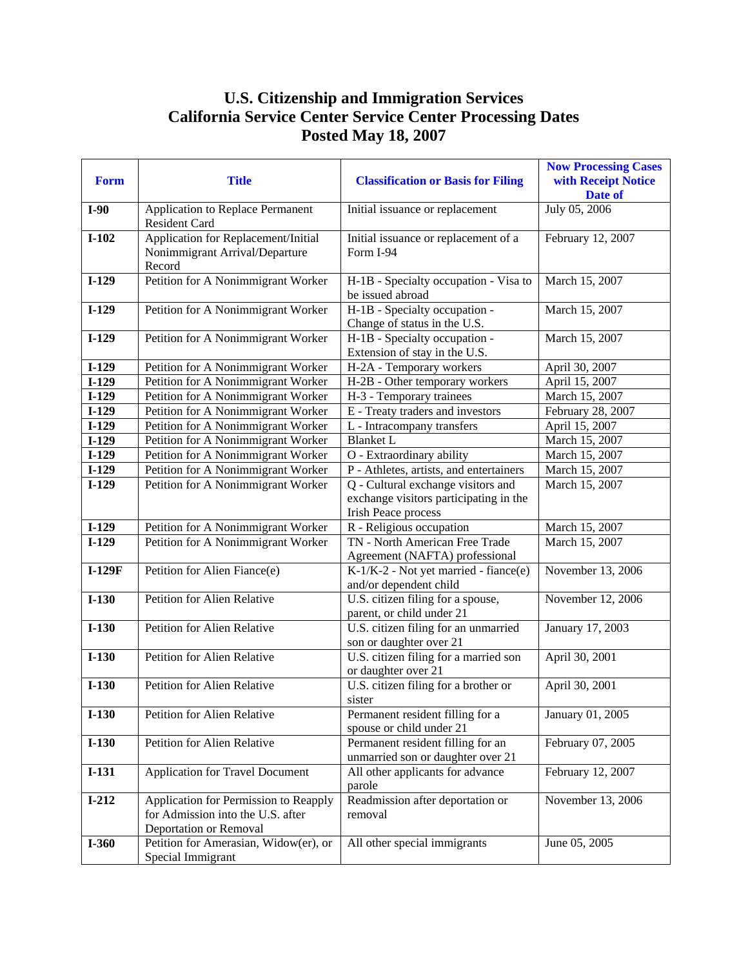## **U.S. Citizenship and Immigration Services California Service Center Service Center Processing Dates Posted May 18, 2007**

| Form     | <b>Title</b>                                                                    | <b>Classification or Basis for Filing</b>                                                                  | <b>Now Processing Cases</b><br>with Receipt Notice<br>Date of |
|----------|---------------------------------------------------------------------------------|------------------------------------------------------------------------------------------------------------|---------------------------------------------------------------|
| $I-90$   | Application to Replace Permanent<br><b>Resident Card</b>                        | Initial issuance or replacement                                                                            | July 05, 2006                                                 |
| $I-102$  | Application for Replacement/Initial<br>Nonimmigrant Arrival/Departure<br>Record | Initial issuance or replacement of a<br>Form I-94                                                          | February 12, 2007                                             |
| $I-129$  | Petition for A Nonimmigrant Worker                                              | H-1B - Specialty occupation - Visa to<br>be issued abroad                                                  | March 15, 2007                                                |
| $I-129$  | Petition for A Nonimmigrant Worker                                              | H-1B - Specialty occupation -<br>Change of status in the U.S.                                              | March 15, 2007                                                |
| $I-129$  | Petition for A Nonimmigrant Worker                                              | H-1B - Specialty occupation -<br>Extension of stay in the U.S.                                             | March 15, 2007                                                |
| $I-129$  | Petition for A Nonimmigrant Worker                                              | H-2A - Temporary workers                                                                                   | April 30, 2007                                                |
| $I-129$  | Petition for A Nonimmigrant Worker                                              | H-2B - Other temporary workers                                                                             | April 15, 2007                                                |
| $I-129$  | Petition for A Nonimmigrant Worker                                              | H-3 - Temporary trainees                                                                                   | March 15, 2007                                                |
| $I-129$  | Petition for A Nonimmigrant Worker                                              | E - Treaty traders and investors                                                                           | February 28, 2007                                             |
| $I-129$  | Petition for A Nonimmigrant Worker                                              | L - Intracompany transfers                                                                                 | April 15, 2007                                                |
| $I-129$  | Petition for A Nonimmigrant Worker                                              | <b>Blanket L</b>                                                                                           | March 15, 2007                                                |
| $I-129$  | Petition for A Nonimmigrant Worker                                              | O - Extraordinary ability                                                                                  | March 15, 2007                                                |
| $I-129$  | Petition for A Nonimmigrant Worker                                              | P - Athletes, artists, and entertainers                                                                    | March 15, 2007                                                |
| $I-129$  | Petition for A Nonimmigrant Worker                                              | Q - Cultural exchange visitors and<br>exchange visitors participating in the<br><b>Irish Peace process</b> | March 15, 2007                                                |
| $I-129$  | Petition for A Nonimmigrant Worker                                              | R - Religious occupation                                                                                   | March 15, 2007                                                |
| $I-129$  | Petition for A Nonimmigrant Worker                                              | TN - North American Free Trade<br>Agreement (NAFTA) professional                                           | March 15, 2007                                                |
| $I-129F$ | Petition for Alien Fiance(e)                                                    | K-1/K-2 - Not yet married - fiance(e)<br>and/or dependent child                                            | November 13, 2006                                             |
| $I-130$  | <b>Petition for Alien Relative</b>                                              | U.S. citizen filing for a spouse,<br>parent, or child under 21                                             | November 12, 2006                                             |
| $I-130$  | Petition for Alien Relative                                                     | U.S. citizen filing for an unmarried<br>son or daughter over 21                                            | January 17, 2003                                              |
| $I-130$  | <b>Petition for Alien Relative</b>                                              | U.S. citizen filing for a married son<br>or daughter over 21                                               | April 30, 2001                                                |
| $I-130$  | <b>Petition for Alien Relative</b>                                              | U.S. citizen filing for a brother or<br>sister                                                             | April 30, 2001                                                |
| $I-130$  | Petition for Alien Relative                                                     | Permanent resident filling for a<br>spouse or child under 21                                               | January 01, 2005                                              |
| $I-130$  | Petition for Alien Relative                                                     | Permanent resident filling for an<br>unmarried son or daughter over 21                                     | February 07, 2005                                             |
| $I-131$  | Application for Travel Document                                                 | All other applicants for advance<br>parole                                                                 | February 12, 2007                                             |
| $I-212$  | Application for Permission to Reapply                                           | Readmission after deportation or                                                                           | November 13, 2006                                             |
|          | for Admission into the U.S. after<br>Deportation or Removal                     | removal                                                                                                    |                                                               |
| $I-360$  | Petition for Amerasian, Widow(er), or<br>Special Immigrant                      | All other special immigrants                                                                               | June 05, 2005                                                 |